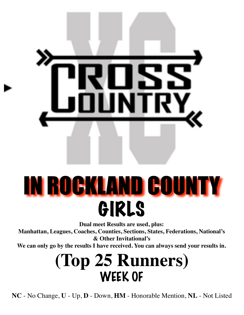

# IN ROCKLAND COUNTY GIRLS

**Dual meet Results are used, plus:**

**Manhattan, Leagues, Coaches, Counties, Sections, States, Federations, National's & Other Invitational's**

**We can only go by the results I have received. You can always send your results in.**

#### **(Top 25 Runners)** WEEK OF

**NC** - No Change, **U** - Up, **D** - Down, **HM** - Honorable Mention, **NL** - Not Listed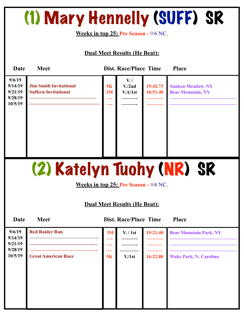### (1) Mary Hennelly (SUFF) SR

**Weeks in top 25: Pre Season -** 9/6 NC,

#### **Dual Meet Results (He Beat):**

| <b>Date</b>                                        | <b>Meet</b>                                                  |                                              | <b>Dist. Race/Place Time</b>                    |                      | <b>Place</b>                                         |
|----------------------------------------------------|--------------------------------------------------------------|----------------------------------------------|-------------------------------------------------|----------------------|------------------------------------------------------|
| 9/6/19<br>9/14/19<br>9/21/19<br>9/28/19<br>10/5/19 | <b>Jim Smith Invitational</b><br><b>Suffern Invitational</b> | 5K<br>3M                                     | $V_{\cdot}$ /<br>V <sub>1</sub> /2nd<br>V.A/1st | 19:42.73<br>18:51.40 | <b>Sunken Meadow, NY</b><br><b>Bear Mountain, NY</b> |
|                                                    |                                                              |                                              |                                                 |                      | (2) Katelyn Tuohy (NR) SR                            |
|                                                    |                                                              | <b>Weeks in top 25: Pre Season - 9/6 NC,</b> |                                                 |                      |                                                      |
|                                                    |                                                              | <b>Dual Meet Results (He Beat):</b>          |                                                 |                      |                                                      |
| Date                                               | <b>Meet</b>                                                  |                                              | <b>Dist. Race/Place Time</b>                    |                      | <b>Place</b>                                         |
| 9/6/19<br>9/14/19                                  | <b>Red Raider Run</b>                                        | 3M                                           | V. / 1st                                        | 19:21.40             | <b>Bear Mountain Park, NY</b>                        |
| 9/21/19<br>9/28/19                                 |                                                              |                                              |                                                 |                      |                                                      |

**10/5/19 Great American Race 5K V./1st 16:22.80 Wake Park, N. Carolina**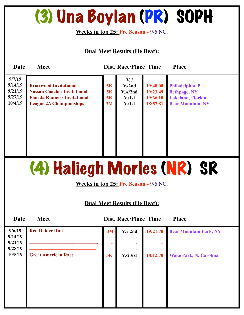### (3) Una Boylan (PR) SOPH

**Weeks in top 25: Pre Season -** 9/6 NC,

**Dual Meet Results (He Beat):** 

| Date                                               | <b>Meet</b>                                                                                                                                  |                      | <b>Dist. Race/Place Time</b>                                                          |                                              | <b>Place</b>                                                                                     |
|----------------------------------------------------|----------------------------------------------------------------------------------------------------------------------------------------------|----------------------|---------------------------------------------------------------------------------------|----------------------------------------------|--------------------------------------------------------------------------------------------------|
| 9/7/19<br>9/14/19<br>9/21/19<br>9/27/19<br>10/4/19 | <b>Briarwood Invitational</b><br><b>Nassau Coaches Invitational</b><br><b>Florida Runners Invitational</b><br><b>League 2A Championships</b> | 5K<br>5K<br>5K<br>3M | $V_{\cdot}$<br>V <sub>1</sub> /2nd<br>V.A/2nd<br>V <sub>1st</sub><br>V <sub>1st</sub> | 19:48.00<br>19:23.49<br>19:36.10<br>18:57.81 | Philadelphia, Pa.<br><b>Bethpage, NY</b><br><b>Lakeland, Florida</b><br><b>Bear Mountain, NY</b> |

### (4) Haliegh Morles (NR) SR

**Weeks in top 25: Pre Season -** 9/6 NC,

#### **Dual Meet Results (He Beat):**

**Date Meet Dist. Race/Place Time Place 9/6/19 9/14/19 9/21/19 9/28/19 10/5/19 3M —- —- —- 5K V. / 2nd ———- ———- ———- V./23rd 19:21.70 ———- ———- ———- 18:12.70 Bear Mountain Park, NY —————————————— —————————————— —————————————— Wake Park, N. Carolina Red Raider Run**  ————————————-  **——————————————- —————————————— Great American Race**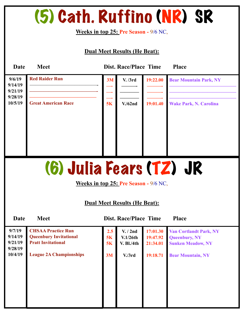### (5) Cath. Ruffino (NR) SR

#### **Weeks in top 25: Pre Season -** 9/6 NC,

| Date                                               | <b>Meet</b>                                                                                                               |                                 | <b>Dist. Race/Place Time</b>                     |                                  | <b>Place</b>                                                                                                    |  |  |
|----------------------------------------------------|---------------------------------------------------------------------------------------------------------------------------|---------------------------------|--------------------------------------------------|----------------------------------|-----------------------------------------------------------------------------------------------------------------|--|--|
| 9/6/19<br>9/14/19<br>9/21/19                       | <b>Red Raider Run</b>                                                                                                     | 3M                              | V. /3rd                                          | 19:22.00                         | <b>Bear Mountain Park, NY</b>                                                                                   |  |  |
| 9/28/19<br>10/5/19                                 | <b>Great American Race</b>                                                                                                | 5K                              | $V.$ /62nd                                       | 19:01.40                         | <b>Wake Park, N. Carolina</b>                                                                                   |  |  |
|                                                    |                                                                                                                           |                                 |                                                  |                                  |                                                                                                                 |  |  |
|                                                    | (6) Julia Fears (TZ) JR<br><b>Weeks in top 25: Pre Season - 9/6 NC,</b><br><b>Dual Meet Results (He Beat):</b>            |                                 |                                                  |                                  |                                                                                                                 |  |  |
| Date                                               | <b>Meet</b>                                                                                                               |                                 | <b>Dist. Race/Place Time</b>                     |                                  | <b>Place</b>                                                                                                    |  |  |
| 9/7/19<br>9/14/19<br>9/21/19<br>9/28/19<br>10/4/19 | <b>CHSAA Practice Run</b><br><b>Queenbury Invitational</b><br><b>Pratt Invitational</b><br><b>League 2A Championships</b> | $2.5^{\circ}$<br>5K<br>5K<br>3M | V. / 2nd<br>V.1/26th<br>$V.$ Bl./4th<br>V. / 3rd | 17:01.30<br>19:47.92<br>19:18.71 | <b>Van Cortlandt Park, NY</b><br><b>Queenbury, NY</b><br>21:34.01 Sunken Meadow, NY<br><b>Bear Mountain, NY</b> |  |  |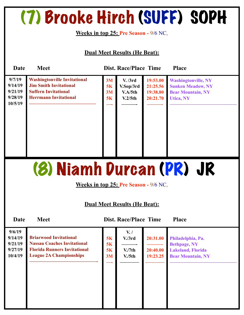### (7) Brooke Hirch (SUFF) SOPH

**Weeks in top 25: Pre Season -** 9/6 NC,

**Dual Meet Results (He Beat):** 

| Date                                               | <b>Meet</b>                                                                                                                         |                      | <b>Dist. Race/Place Time</b>               |                                              | <b>Place</b>                                                                                           |
|----------------------------------------------------|-------------------------------------------------------------------------------------------------------------------------------------|----------------------|--------------------------------------------|----------------------------------------------|--------------------------------------------------------------------------------------------------------|
| 9/7/19<br>9/14/19<br>9/21/19<br>9/28/19<br>10/5/19 | <b>Washingtonville Invitational</b><br><b>Jim Smith Invitational</b><br><b>Suffern Invitational</b><br><b>Herrmann Invitational</b> | 3M<br>5K<br>3M<br>5K | V. /3rd<br>V.Sop/3rd<br>V.A/5th<br>V.2/5th | 19:53.00<br>21:25.56<br>19:38.80<br>20:21.70 | <b>Washingtonville, NY</b><br><b>Sunken Meadow, NY</b><br><b>Bear Mountain, NY</b><br><b>Utica, NY</b> |

### (8) Niamh Durcan (PR) JR

**Weeks in top 25: Pre Season -** 9/6 NC,

#### **Dual Meet Results (He Beat):**

| 9/6/19<br>9/14/19<br>9/21/19<br>9/27/19<br>10/4/19 | <b>Briarwood Invitational</b><br><b>Nassau Coaches Invitational</b><br><b>Florida Runners Invitational</b><br><b>League 2A Championships</b> | 5K<br>5K<br>5K<br>3M | $V_{\cdot}$<br>V <sub>1</sub> /3rd<br>V <sub>1</sub> /7th<br>V <sub>1</sub> /5th | 20:31.00<br>20:40.00<br>19:23.25 | Philadelphia, Pa.<br><b>Bethpage, NY</b><br><b>Lakeland, Florida</b><br><b>Bear Mountain, NY</b> |
|----------------------------------------------------|----------------------------------------------------------------------------------------------------------------------------------------------|----------------------|----------------------------------------------------------------------------------|----------------------------------|--------------------------------------------------------------------------------------------------|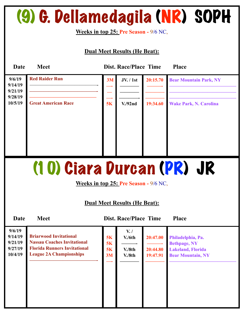### (9) G. Dellamedagila (NR) SOPH

**Weeks in top 25: Pre Season -** 9/6 NC,

#### **Dual Meet Results (He Beat):**

| <b>Date</b>                             | <b>Meet</b>                |    | <b>Dist. Race/Place Time</b> |          | <b>Place</b>                  |
|-----------------------------------------|----------------------------|----|------------------------------|----------|-------------------------------|
| 9/6/19<br>9/14/19<br>9/21/19<br>9/28/19 | <b>Red Raider Run</b>      | 3M | <b>JV.</b> / 1st             | 20:15.70 | <b>Bear Mountain Park, NY</b> |
| 10/5/19                                 | <b>Great American Race</b> | 5K | V.92nd                       | 19:34.60 | <b>Wake Park, N. Carolina</b> |

### (10) Ciara Durcan (PR) JR

**Weeks in top 25: Pre Season -** 9/6 NC,

#### **Dual Meet Results (He Beat):**

| 9/6/19<br>9/14/19                         | <b>Briarwood Invitational</b>                                             | <b>5K</b>       | $V_{\cdot}$ /<br>V/6th | 20:47.00                 | Philadelphia, Pa.                               |
|-------------------------------------------|---------------------------------------------------------------------------|-----------------|------------------------|--------------------------|-------------------------------------------------|
| 9/21/19<br>9/27/19                        | <b>Nassau Coaches Invitational</b><br><b>Florida Runners Invitational</b> | <b>5K</b><br>5K | V.8th                  | 20:44.80                 | <b>Bethpage, NY</b><br><b>Lakeland, Florida</b> |
| <b>League 2A Championships</b><br>10/4/19 | 3M                                                                        | V.8th           | 19:47.91               | <b>Bear Mountain, NY</b> |                                                 |
|                                           |                                                                           |                 |                        |                          |                                                 |
|                                           |                                                                           |                 |                        |                          |                                                 |
|                                           |                                                                           |                 |                        |                          |                                                 |
|                                           |                                                                           |                 |                        |                          |                                                 |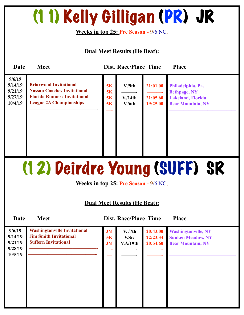## (11) Kelly Gilligan (PR) JR

**Weeks in top 25: Pre Season -** 9/6 NC,

#### **Dual Meet Results (He Beat):**

| Date                                               | <b>Meet</b>                                                                                                                                  |                             | <b>Dist. Race/Place Time</b> |                                  | <b>Place</b>                                                                                     |  |
|----------------------------------------------------|----------------------------------------------------------------------------------------------------------------------------------------------|-----------------------------|------------------------------|----------------------------------|--------------------------------------------------------------------------------------------------|--|
| 9/6/19<br>9/14/19<br>9/21/19<br>9/27/19<br>10/4/19 | <b>Briarwood Invitational</b><br><b>Nassau Coaches Invitational</b><br><b>Florida Runners Invitational</b><br><b>League 2A Championships</b> | 5K<br>5K<br>5K<br><b>5K</b> | V.9th<br>V/14th<br>V/6th     | 21:01.00<br>21:05.60<br>19:25.00 | Philadelphia, Pa.<br><b>Bethpage, NY</b><br><b>Lakeland, Florida</b><br><b>Bear Mountain, NY</b> |  |

## (12) Deirdre Young (SUFF) SR

**Weeks in top 25: Pre Season -** 9/6 NC,

#### **Dual Meet Results (He Beat):**

| 9/6/19<br>9/14/19<br>9/21/19<br>9/28/19<br>10/5/19 | <b>Washingtonville Invitational</b><br><b>Jim Smith Invitational</b><br><b>Suffern Invitational</b> | 3M<br>5K<br>3M | V. /7th<br>V.Sr/<br>V.A/19th | 20:43.00<br>22:23.34<br>20:54.60 | <b>Washingtonville, NY</b><br><b>Sunken Meadow, NY</b><br><b>Bear Mountain, NY</b> |
|----------------------------------------------------|-----------------------------------------------------------------------------------------------------|----------------|------------------------------|----------------------------------|------------------------------------------------------------------------------------|
|                                                    |                                                                                                     |                |                              |                                  |                                                                                    |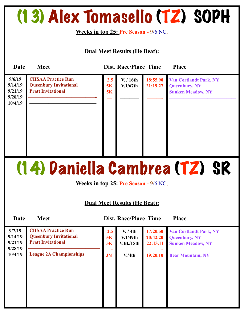### (13) Alex Tomasello (TZ) SOPH

**Weeks in top 25: Pre Season -** 9/6 NC,

**Dual Meet Results (He Beat):** 

| Date                                               | <b>Meet</b>                                                                             |                 | <b>Dist. Race/Place Time</b> |                      | <b>Place</b>                                                                      |
|----------------------------------------------------|-----------------------------------------------------------------------------------------|-----------------|------------------------------|----------------------|-----------------------------------------------------------------------------------|
| 9/6/19<br>9/14/19<br>9/21/19<br>9/28/19<br>10/4/19 | <b>CHSAA Practice Run</b><br><b>Queenbury Invitational</b><br><b>Pratt Invitational</b> | 2.5<br>5K<br>5K | V. / 16th<br>V.1/67th        | 18:55.90<br>21:19.27 | <b>Van Cortlandt Park, NY</b><br><b>Queenbury, NY</b><br><b>Sunken Meadow, NY</b> |

### (14) Daniella Cambrea (TZ) SR

**Weeks in top 25: Pre Season -** 9/6 NC,

#### **Dual Meet Results (He Beat):**

| 9/7/19<br>9/14/19<br>9/21/19<br>9/28/19 | <b>CHSAA Practice Run</b><br><b>Queenbury Invitational</b><br><b>Pratt Invitational</b> | 2.5<br>5K<br>5K | V. / 4th<br>V.1/49th<br><b>V.Bl./15th</b> | 17:20.50<br>20:42.20<br>22:13.11 | <b>Van Cortlandt Park, NY</b><br><b>Queenbury, NY</b><br><b>Sunken Meadow, NY</b> |
|-----------------------------------------|-----------------------------------------------------------------------------------------|-----------------|-------------------------------------------|----------------------------------|-----------------------------------------------------------------------------------|
| 10/4/19                                 | <b>League 2A Championships</b>                                                          | 3M              | V.4th                                     | 19:20.10                         | <b>Bear Mountain, NY</b>                                                          |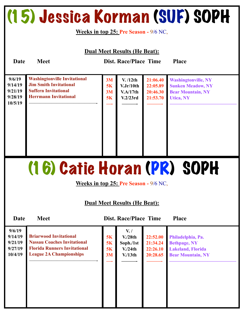### (15) Jessica Korman (SUF) SOPH

#### **Weeks in top 25: Pre Season -** 9/6 NC,

| <b>Dual Meet Results (He Beat):</b>                |                                                                                                                                     |                      |                                               |                                              |                                                                                                        |  |  |
|----------------------------------------------------|-------------------------------------------------------------------------------------------------------------------------------------|----------------------|-----------------------------------------------|----------------------------------------------|--------------------------------------------------------------------------------------------------------|--|--|
| Date                                               | <b>Meet</b>                                                                                                                         |                      | <b>Dist. Race/Place Time</b>                  |                                              | <b>Place</b>                                                                                           |  |  |
| 9/6/19<br>9/14/19<br>9/21/19<br>9/28/19<br>10/5/19 | <b>Washingtonville Invitational</b><br><b>Jim Smith Invitational</b><br><b>Suffern Invitational</b><br><b>Herrmann Invitational</b> | 3M<br>5K<br>3M<br>5K | V. /12th<br>V.Jr/10th<br>V.A/17th<br>V.2/23rd | 21:06.40<br>22:05.89<br>20:46.30<br>21:53.70 | <b>Washingtonville, NY</b><br><b>Sunken Meadow, NY</b><br><b>Bear Mountain, NY</b><br><b>Utica, NY</b> |  |  |

### (16) Catie Horan (PR) SOPH

**Weeks in top 25: Pre Season -** 9/6 NC,

#### **Dual Meet Results (He Beat):**

| 9/6/19<br>9/14/19<br>9/21/19<br>9/27/19<br>10/4/19 | <b>Briarwood Invitational</b><br><b>Nassau Coaches Invitational</b><br><b>Florida Runners Invitational</b><br><b>League 2A Championships</b> | 5K<br><b>5K</b><br>5K<br>3M | $V_{\cdot}$<br>V <sub>1</sub> /28th<br>Soph./1st<br>V <sub>1</sub> /24th<br>V <sub>13th</sub> | 22:52.00<br>21:34.24<br>22:26.10<br>20:28.65 | Philadelphia, Pa.<br><b>Bethpage, NY</b><br><b>Lakeland, Florida</b><br><b>Bear Mountain, NY</b> |
|----------------------------------------------------|----------------------------------------------------------------------------------------------------------------------------------------------|-----------------------------|-----------------------------------------------------------------------------------------------|----------------------------------------------|--------------------------------------------------------------------------------------------------|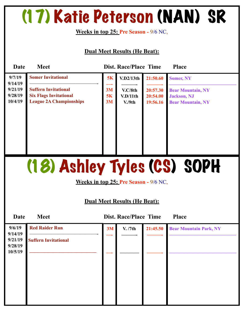### (17) Katie Peterson (NAN) SR

**Weeks in top 25: Pre Season -** 9/6 NC,

#### **Dual Meet Results (He Beat):**

| Date                                     | <b>Meet</b>                                                                                    |                | <b>Dist. Race/Place Time</b> |                                  | <b>Place</b>                                                                |
|------------------------------------------|------------------------------------------------------------------------------------------------|----------------|------------------------------|----------------------------------|-----------------------------------------------------------------------------|
| 9/7/19                                   | <b>Somer Invitational</b>                                                                      | 5K             | V.D2/13th                    | 21:50.60                         | <b>Somer, NY</b>                                                            |
| 9/14/19<br>9/21/19<br>9/28/19<br>10/4/19 | <b>Suffern Invitational</b><br><b>Six Flags Invitational</b><br><b>League 2A Championships</b> | 3M<br>5K<br>3M | V.C/8th<br>V.D/11th<br>V.9th | 20:57.30<br>20:54.00<br>19:56.16 | <b>Bear Mountain, NY</b><br><b>Jackson</b> , NJ<br><b>Bear Mountain, NY</b> |
|                                          |                                                                                                |                |                              |                                  |                                                                             |
|                                          |                                                                                                |                |                              |                                  |                                                                             |

### (18) Ashley Tyles (CS) SOPH

**Weeks in top 25: Pre Season -** 9/6 NC,

| <b>Date</b>        | <b>Meet</b>                 |    | Dist. Race/Place Time |          | <b>Place</b>                  |
|--------------------|-----------------------------|----|-----------------------|----------|-------------------------------|
| 9/6/19<br>9/14/19  | <b>Red Raider Run</b>       | 3M | V. /7th               | 21:45.50 | <b>Bear Mountain Park, NY</b> |
| 9/21/19<br>9/28/19 | <b>Suffern Invitational</b> |    |                       |          |                               |
| 10/5/19            |                             |    |                       |          |                               |
|                    |                             |    |                       |          |                               |
|                    |                             |    |                       |          |                               |
|                    |                             |    |                       |          |                               |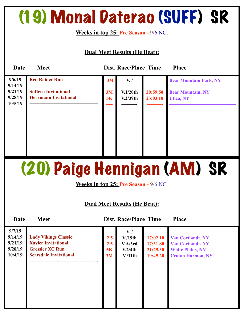### (19) Monal Daterao (SUFF) SR

**Weeks in top 25: Pre Season -** 9/6 NC,

#### **Dual Meet Results (He Beat):**

| Date               | <b>Meet</b>                                                 |          | <b>Dist. Race/Place Time</b> |                      | <b>Place</b>                                      |
|--------------------|-------------------------------------------------------------|----------|------------------------------|----------------------|---------------------------------------------------|
| 9/6/19<br>9/14/19  | <b>Red Raider Run</b>                                       | 3M       | V./                          |                      | <b>Bear Mountain Park, NY</b>                     |
| 9/21/19<br>9/28/19 | <b>Suffern Invitational</b><br><b>Herrmann Invitational</b> | 3M<br>5K | V.1/20th<br>V.2/39th         | 20:59.50<br>23:03.10 | <b>Bear Mountain, NY</b><br><b>Utica, NY</b><br>Ш |
| 10/5/19            |                                                             |          |                              |                      |                                                   |
|                    |                                                             |          |                              |                      |                                                   |
|                    |                                                             |          |                              |                      |                                                   |
|                    |                                                             |          |                              |                      |                                                   |
|                    |                                                             |          |                              |                      |                                                   |

### (20) Paige Hennigan (AM) SR

**Weeks in top 25: Pre Season -** 9/6 NC,

| Date                                               | <b>Meet</b>                                                                                                          |                        | <b>Dist. Race/Place Time</b>                                       |                                              | <b>Place</b>                                                                                                |
|----------------------------------------------------|----------------------------------------------------------------------------------------------------------------------|------------------------|--------------------------------------------------------------------|----------------------------------------------|-------------------------------------------------------------------------------------------------------------|
| 9/7/19<br>9/14/19<br>9/21/19<br>9/28/19<br>10/4/19 | <b>Lady Vikings Classic</b><br><b>Xavier Invitational</b><br><b>Gressler XC Run</b><br><b>Scarsdale Invitational</b> | 2.5<br>2.5<br>5K<br>3M | $V_{\cdot}$ /<br>V.19th<br>V.A/3rd<br>V.2/4th<br>V <sub>11th</sub> | 17:02.10<br>17:31.80<br>21:29.30<br>19:45.20 | <b>Van Cortlandt, NY</b><br><b>Van Cortlandt, NY</b><br><b>White Plains, NY</b><br><b>Croton Harmon, NY</b> |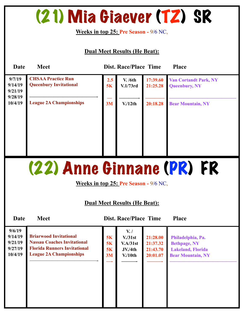### (21) Mia Giaever (TZ) SR

**Weeks in top 25: Pre Season -** 9/6 NC,

#### **Dual Meet Results (He Beat):**

| Date                                    | <b>Meet</b>                                                |           | <b>Dist. Race/Place Time</b> |                      | <b>Place</b>                                         |
|-----------------------------------------|------------------------------------------------------------|-----------|------------------------------|----------------------|------------------------------------------------------|
| 9/7/19<br>9/14/19<br>9/21/19<br>9/28/19 | <b>CHSAA Practice Run</b><br><b>Queenbury Invitational</b> | 2.5<br>5K | V. /6th<br>V.1/73rd          | 17:39.60<br>21:25.28 | <b>Van Cortandt Park, NY</b><br><b>Queenbury, NY</b> |
| 10/4/19                                 | <b>League 2A Championships</b>                             | 3M        | V <sub>12th</sub>            | 20:18.28             | <b>Bear Mountain, NY</b>                             |

### (22) Anne Ginnane (PR) FR

**Weeks in top 25: Pre Season -** 9/6 NC,

#### **Dual Meet Results (He Beat):**

| 9/6/19<br>9/14/19<br>9/21/19<br>9/27/19<br>10/4/19 | <b>Briarwood Invitational</b><br><b>Nassau Coaches Invitational</b><br><b>Florida Runners Invitational</b><br><b>League 2A Championships</b> | 5K<br>5K<br>5K<br>3M | $V_{\cdot}$ /<br>V <sub>1</sub> /31st<br>V.A/31st<br>JV/4th<br>$V/10$ th | 21:28.00<br>21:37.32<br>21:43.70<br>20:01.07 | Philadelphia, Pa.<br><b>Bethpage, NY</b><br><b>Lakeland, Florida</b><br><b>Bear Mountain, NY</b> |
|----------------------------------------------------|----------------------------------------------------------------------------------------------------------------------------------------------|----------------------|--------------------------------------------------------------------------|----------------------------------------------|--------------------------------------------------------------------------------------------------|
|                                                    |                                                                                                                                              |                      |                                                                          |                                              |                                                                                                  |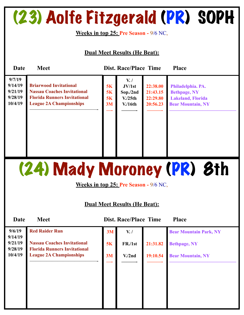### (23) Aolfe Fitzgerald (PR) SOPH

**Weeks in top 25: Pre Season -** 9/6 NC,

#### **Dual Meet Results (He Beat):**

| Date                                               | <b>Meet</b>                                                                                                                                  |                      | <b>Dist. Race/Place Time</b>                                        |                                              | <b>Place</b>                                                                                     |
|----------------------------------------------------|----------------------------------------------------------------------------------------------------------------------------------------------|----------------------|---------------------------------------------------------------------|----------------------------------------------|--------------------------------------------------------------------------------------------------|
| 9/7/19<br>9/14/19<br>9/21/19<br>9/28/19<br>10/4/19 | <b>Briarwood Invitational</b><br><b>Nassau Coaches Invitational</b><br><b>Florida Runners Invitational</b><br><b>League 2A Championships</b> | 5K<br>5K<br>5K<br>3M | $V_{\cdot}$<br>JV/1st<br>Sop./2nd<br>V <sub>1</sub> /25th<br>V/16th | 22:38.00<br>21:43.15<br>22:29.80<br>20:56.23 | Philadelphia. PA.<br><b>Bethpage, NY</b><br><b>Lakeland, Florida</b><br><b>Bear Mountain, NY</b> |

(24) Mady Moroney (PR) 8th

**Weeks in top 25: Pre Season -** 9/6 NC,

| Date               | <b>Meet</b>                                                               |    | <b>Dist. Race/Place Time</b> |          | <b>Place</b>                  |
|--------------------|---------------------------------------------------------------------------|----|------------------------------|----------|-------------------------------|
| 9/6/19<br>9/14/19  | <b>Red Raider Run</b>                                                     | 3M | $V_{\cdot}$ /                |          | <b>Bear Mountain Park, NY</b> |
| 9/21/19<br>9/28/19 | <b>Nassau Coaches Invitational</b><br><b>Florida Runners Invitational</b> | 5K | FR./1st                      | 21:31.82 | <b>Bethpage, NY</b>           |
| 10/4/19            | <b>League 2A Championships</b>                                            | 3M | V <sub>1</sub> /2nd          | 19:10.54 | <b>Bear Mountain, NY</b>      |
|                    |                                                                           |    |                              |          |                               |
|                    |                                                                           |    |                              |          |                               |
|                    |                                                                           |    |                              |          |                               |
|                    |                                                                           |    |                              |          |                               |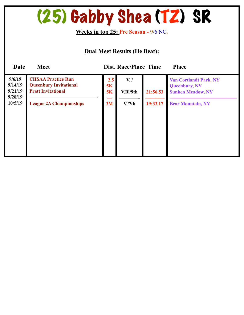### (25) Gabby Shea (TZ) SR

**Weeks in top 25: Pre Season -** 9/6 NC,

| <b>Date</b>                                        | <b>Meet</b>                                                                                                               |                       | <b>Dist. Race/Place Time</b>                     |                      | <b>Place</b>                                                                                                  |
|----------------------------------------------------|---------------------------------------------------------------------------------------------------------------------------|-----------------------|--------------------------------------------------|----------------------|---------------------------------------------------------------------------------------------------------------|
| 9/6/19<br>9/14/19<br>9/21/19<br>9/28/19<br>10/5/19 | <b>CHSAA Practice Run</b><br><b>Queenbury Invitational</b><br><b>Pratt Invitational</b><br><b>League 2A Championships</b> | 2.5<br>5K<br>5K<br>3M | $V_{\cdot}$ /<br>V.Bl/9th<br>V <sub>1</sub> /7th | 21:56.53<br>19:33.17 | <b>Van Cortlandt Park, NY</b><br><b>Queenbury, NY</b><br><b>Sunken Meadow, NY</b><br><b>Bear Mountain, NY</b> |